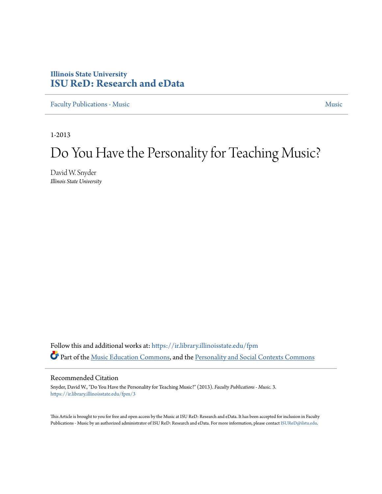### **Illinois State University [ISU ReD: Research and eData](https://ir.library.illinoisstate.edu?utm_source=ir.library.illinoisstate.edu%2Ffpm%2F3&utm_medium=PDF&utm_campaign=PDFCoverPages)**

[Faculty Publications - Music](https://ir.library.illinoisstate.edu/fpm?utm_source=ir.library.illinoisstate.edu%2Ffpm%2F3&utm_medium=PDF&utm_campaign=PDFCoverPages) [Music](https://ir.library.illinoisstate.edu/m?utm_source=ir.library.illinoisstate.edu%2Ffpm%2F3&utm_medium=PDF&utm_campaign=PDFCoverPages) Music Music Music Music Music Music Music Music Music Music Music Music Music

1-2013

## Do You Have the Personality for Teaching Music?

David W. Snyder *Illinois State University*

Follow this and additional works at: [https://ir.library.illinoisstate.edu/fpm](https://ir.library.illinoisstate.edu/fpm?utm_source=ir.library.illinoisstate.edu%2Ffpm%2F3&utm_medium=PDF&utm_campaign=PDFCoverPages) Part of the [Music Education Commons](http://network.bepress.com/hgg/discipline/1246?utm_source=ir.library.illinoisstate.edu%2Ffpm%2F3&utm_medium=PDF&utm_campaign=PDFCoverPages), and the [Personality and Social Contexts Commons](http://network.bepress.com/hgg/discipline/413?utm_source=ir.library.illinoisstate.edu%2Ffpm%2F3&utm_medium=PDF&utm_campaign=PDFCoverPages)

#### Recommended Citation

Snyder, David W., "Do You Have the Personality for Teaching Music?" (2013). *Faculty Publications - Music*. 3. [https://ir.library.illinoisstate.edu/fpm/3](https://ir.library.illinoisstate.edu/fpm/3?utm_source=ir.library.illinoisstate.edu%2Ffpm%2F3&utm_medium=PDF&utm_campaign=PDFCoverPages)

This Article is brought to you for free and open access by the Music at ISU ReD: Research and eData. It has been accepted for inclusion in Faculty Publications - Music by an authorized administrator of ISU ReD: Research and eData. For more information, please contact [ISUReD@ilstu.edu](mailto:ISUReD@ilstu.edu).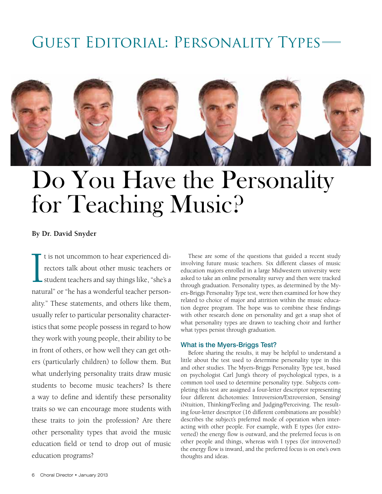## Guest Editorial: Personality Types



# Do You Have the Personality for Teaching Music?

#### **By Dr. David Snyder**

I t is not uncommon to hear experienced di-<br>rectors talk about other music teachers or<br>student teachers and say things like, "she's a<br>natural" or "he has a wonderful teacher persont is not uncommon to hear experienced directors talk about other music teachers or student teachers and say things like, "she's a ality." These statements, and others like them, usually refer to particular personality characteristics that some people possess in regard to how they work with young people, their ability to be in front of others, or how well they can get others (particularly children) to follow them. But what underlying personality traits draw music students to become music teachers? Is there a way to define and identify these personality traits so we can encourage more students with these traits to join the profession? Are there other personality types that avoid the music education field or tend to drop out of music education programs?

These are some of the questions that guided a recent study involving future music teachers. Six different classes of music education majors enrolled in a large Midwestern university were asked to take an online personality survey and then were tracked through graduation. Personality types, as determined by the Myers-Briggs Personality Type test, were then examined for how they related to choice of major and attrition within the music education degree program. The hope was to combine these findings with other research done on personality and get a snap shot of what personality types are drawn to teaching choir and further what types persist through graduation.

#### What is the Myers-Briggs Test?

Before sharing the results, it may be helpful to understand a little about the test used to determine personality type in this and other studies. The Myers-Briggs Personality Type test, based on psychologist Carl Jung's theory of psychological types, is a common tool used to determine personality type. Subjects completing this test are assigned a four-letter descriptor representing four different dichotomies: Introversion/Extroversion, Sensing/ iNtuition, Thinking/Feeling and Judging/Perceiving. The resulting four-letter descriptor (16 different combinations are possible) describes the subject's preferred mode of operation when interacting with other people. For example, with E types (for extroverted) the energy flow is outward, and the preferred focus is on other people and things, whereas with I types (for introverted) the energy flow is inward, and the preferred focus is on one's own thoughts and ideas.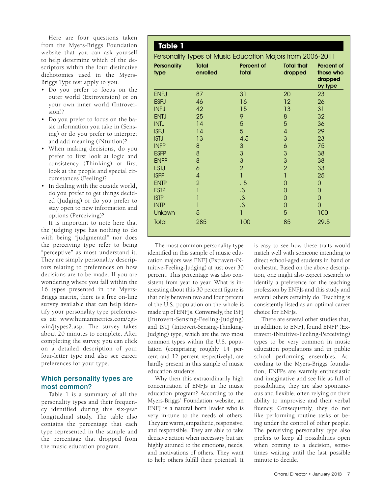Here are four questions taken from the Myers-Briggs Foundation website that you can ask yourself to help determine which of the descriptors within the four distinctive dichotomies used in the Myers-Briggs Type test apply to you.

- Do you prefer to focus on the outer world (Extroversion) or on vour own inner world (Introver $sion$ ?
- Do you prefer to focus on the basic information you take in (Sensing) or do you prefer to interpret and add meaning (iNtuition)?
- When making decisions, do you prefer to first look at logic and consistency (Thinking) or first look at the people and special circumstances (Feeling)?
- In dealing with the outside world, do you prefer to get things decided (Judging) or do you prefer to stay open to new information and options (Perceiving)?

It is important to note here that the judging type has nothing to do with being "judgmental" nor does the perceiving type refer to being "perceptive" as most understand it. They are simply personality descriptors relating to preferences on how decisions are to be made. If you are wondering where you fall within the 16 types presented in the Myers-Briggs matrix, there is a free on-line survey available that can help identify your personality type preferences at: www.humanmetrics.com/cgiwin/jtypes2.asp. The survey takes about 20 minutes to complete. After completing the survey, you can click on a detailed description of your four-letter type and also see career preferences for your type.

#### Which personality types are most common?

Table 1 is a summary of all the personality types and their frequency identified during this six-year longitudinal study. The table also contains the percentage that each type represented in the sample and the percentage that dropped from the music education program.

#### **Table 1**

Personality Types of Music Education Majors from 2006-2011

| <b>Personality</b><br>type | Total<br>enrolled | Percent of<br>total | <b>Total that</b><br>dropped | Percent of<br>those who<br>dropped<br>by type |
|----------------------------|-------------------|---------------------|------------------------------|-----------------------------------------------|
| <b>ENFJ</b>                | 87                | 31                  | 20                           | 23                                            |
| <b>ESFJ</b>                | 46                | 16                  | 12                           | 26                                            |
| <b>INFJ</b>                | 42                | 15                  | 13                           | 31                                            |
| <b>ENTJ</b>                | 25                | 9                   | $\,8\,$                      | 32                                            |
| <b>INTJ</b>                | 14                | 5                   | 5                            | 36                                            |
| <b>ISFJ</b>                | 14                | 5                   | 4                            | 29                                            |
| <b>ISTJ</b>                | 13                | 4.5                 | 3                            | 23                                            |
| <b>INFP</b>                | 8                 | 3                   | 6                            | 75                                            |
| <b>ESFP</b>                | 8                 | 3                   | 3                            | 38                                            |
| <b>ENFP</b>                | 8                 | 3                   | 3                            | 38                                            |
| <b>ESTJ</b>                | 6                 | $\overline{2}$      | $\overline{2}$               | 33                                            |
| <b>ISFP</b>                | 4                 | 1                   | 1                            | 25                                            |
| <b>ENTP</b>                | $\overline{2}$    | . 5                 | 0                            | 0                                             |
| <b>ESTP</b>                |                   | .3                  | 0                            | $\overline{0}$                                |
| <b>ISTP</b>                |                   | .3                  | 0                            | $\overline{0}$                                |
| <b>INTP</b>                |                   | .3                  | $\overline{0}$               | $\overline{0}$                                |
| Unkown                     | 5                 | 1                   | 5                            | 100                                           |
| Total                      | 285               | 100                 | 85                           | 29.5                                          |

The most common personality type identified in this sample of music education majors was ENFJ (Extravert-iNtuitive-Feeling-Judging) at just over 30 percent. This percentage was also consistent from year to year. What is interesting about this 30 percent figure is that only between two and four percent of the U.S. population on the whole is made up of ENFJs. Conversely, the ISFJ (Introvert-Sensing-Feeling-Judging) and ISTJ (Introvert-Sensing-Thinking-Judging) type, which are the two most common types within the U.S. population (comprising roughly 14 percent and 12 percent respectively), are hardly present in this sample of music education students.

Why then this extraordinarily high concentration of ENFJs in the music education program? According to the Myers-Briggs' Foundation website, an ENFJ is a natural born leader who is very in-tune to the needs of others. They are warm, empathetic, responsive, and responsible. They are able to take decisive action when necessary but are highly attuned to the emotions, needs, and motivations of others. They want to help others fulfill their potential. It

is easy to see how these traits would match well with someone intending to direct school-aged students in band or orchestra. Based on the above description, one might also expect research to identify a preference for the teaching profession by ENFJs and this study and several others certainly do. Teaching is consistently listed as an optimal career choice for ENFJs.

There are several other studies that, in addition to ENFJ, found ENFP (Extravert-iNtuitive-Feeling-Perceiving) types to be very common in music education populations and in public school performing ensembles. According to the Myers-Briggs foundation, ENFPs are warmly enthusiastic and imaginative and see life as full of possibilities; they are also spontaneous and flexible, often relying on their ability to improvise and their verbal fluency. Consequently, they do not like performing routine tasks or being under the control of other people. The perceiving personality type also prefers to keep all possibilities open when coming to a decision, sometimes waiting until the last possible minute to decide.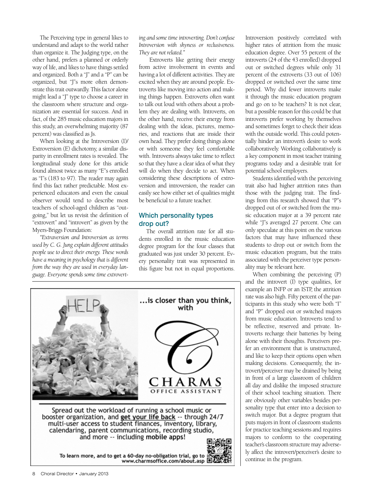The Perceiving type in general likes to understand and adapt to the world rather than organize it. The Judging type, on the other hand, prefers a planned or orderly way of life, and likes to have things settled and organized. Both a "J" and a "P" can be organized, but "J"s more often demonstrate this trait outwardly. This factor alone might lead a "J" type to choose a career in the classroom where structure and organization are essential for success. And in fact, of the 285 music education majors in this study, an overwhelming majority (87 percent) was classified as Js.

When looking at the Introversion (I)/ Extroversion (E) dichotomy, a similar disparity in enrollment rates is revealed. The longitudinal study done for this article found almost twice as many "E"s enrolled as "I"s (183 to 97). The reader may again find this fact rather predictable. Most experienced educators and even the casual observer would tend to describe most teachers of school-aged children as "outgoing," but let us revisit the definition of "extrovert" and "introvert" as given by the Myers-Briggs Foundation:

*"Extraversion and Introversion as terms used by C. G. Jung explain different attitudes people use to direct their energy. These words have a meaning in psychology that is different from the way they are used in everyday language. Everyone spends some time extrovert-* *ing and some time introverting. Don't confuse Introversion with shyness or reclusiveness. They are not related."*

 Extroverts like getting their energy from active involvement in events and having a lot of different activities. They are excited when they are around people. Extroverts like moving into action and making things happen. Extroverts often want to talk out loud with others about a problem they are dealing with. Introverts, on the other hand, receive their energy from dealing with the ideas, pictures, memories, and reactions that are inside their own head. They prefer doing things alone or with someone they feel comfortable with. Introverts always take time to reflect so that they have a clear idea of what they will do when they decide to act. When considering these descriptions of extroversion and introversion, the reader can easily see how either set of qualities might be beneficial to a future teacher.

#### Which personality types drop out?

The overall attrition rate for all students enrolled in the music education degree program for the four classes that graduated was just under 30 percent. Every personality trait was represented in this figure but not in equal proportions.



Introversion positively correlated with higher rates of attrition from the music education degree. Over 55 percent of the introverts (24 of the 43 enrolled) dropped out or switched degrees while only 31 percent of the extroverts (33 out of 106) dropped or switched over the same time period. Why did fewer introverts make it through the music education program and go on to be teachers? It is not clear, but a possible reason for this could be that introverts prefer working by themselves and sometimes forget to check their ideas with the outside world. This could potentially hinder an introvert's desire to work collaboratively. Working collaboratively is a key component in most teacher training programs today and a desirable trait for potential school employers.

Students identified with the perceiving trait also had higher attrition rates than those with the judging trait. The findings from this research showed that "P"s dropped out of or switched from the music education major at a 39 percent rate while "J"s averaged 27 percent. One can only speculate at this point on the various factors that may have influenced these students to drop out or switch from the music education program, but the traits associated with the perceiver type personality may be relevant here.

When combining the perceiving (P) and the introvert (I) type qualities, for example an INFP or an ISTP, the attrition rate was also high. Fifty percent of the participants in this study who were both "I" and "P" dropped out or switched majors from music education. Introverts tend to be reflective, reserved and private. Introverts recharge their batteries by being alone with their thoughts. Perceivers prefer an environment that is unstructured, and like to keep their options open when making decisions. Consequently, the introvert/perceiver may be drained by being in front of a large classroom of children all day and dislike the imposed structure of their school teaching situation. There are obviously other variables besides personality type that enter into a decision to switch major. But a degree program that puts majors in front of classroom students for practice teaching sessions and requires majors to conform to the cooperating teacher's classroom structure may adversely affect the introvert/perceiver's desire to continue in the program.